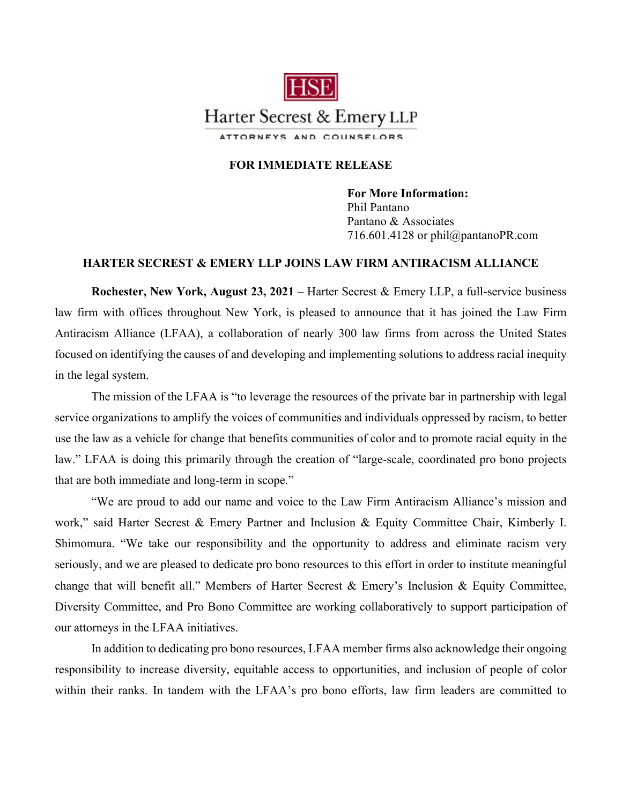

## **FOR IMMEDIATE RELEASE**

**For More Information:**  Phil Pantano Pantano & Associates 716.601.4128 or phil@pantanoPR.com

## **HARTER SECREST & EMERY LLP JOINS LAW FIRM ANTIRACISM ALLIANCE**

**Rochester, New York, August 23, 2021** – Harter Secrest & Emery LLP, a full-service business law firm with offices throughout New York, is pleased to announce that it has joined the Law Firm Antiracism Alliance (LFAA), a collaboration of nearly 300 law firms from across the United States focused on identifying the causes of and developing and implementing solutions to address racial inequity in the legal system.

The mission of the LFAA is "to leverage the resources of the private bar in partnership with legal service organizations to amplify the voices of communities and individuals oppressed by racism, to better use the law as a vehicle for change that benefits communities of color and to promote racial equity in the law." LFAA is doing this primarily through the creation of "large-scale, coordinated pro bono projects that are both immediate and long-term in scope."

"We are proud to add our name and voice to the Law Firm Antiracism Alliance's mission and work," said Harter Secrest & Emery Partner and Inclusion & Equity Committee Chair, Kimberly I. Shimomura. "We take our responsibility and the opportunity to address and eliminate racism very seriously, and we are pleased to dedicate pro bono resources to this effort in order to institute meaningful change that will benefit all." Members of Harter Secrest & Emery's Inclusion & Equity Committee, Diversity Committee, and Pro Bono Committee are working collaboratively to support participation of our attorneys in the LFAA initiatives.

In addition to dedicating pro bono resources, LFAA member firms also acknowledge their ongoing responsibility to increase diversity, equitable access to opportunities, and inclusion of people of color within their ranks. In tandem with the LFAA's pro bono efforts, law firm leaders are committed to